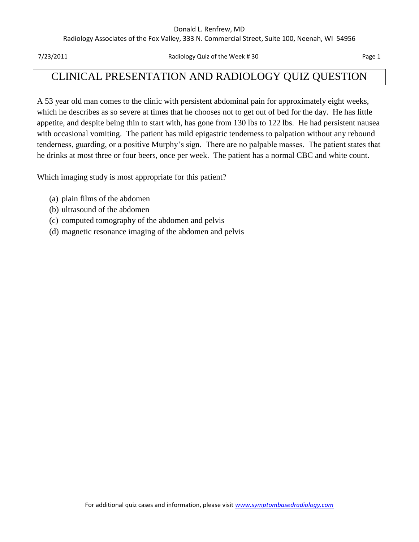#### Donald L. Renfrew, MD

Radiology Associates of the Fox Valley, 333 N. Commercial Street, Suite 100, Neenah, WI 54956

7/23/2011 Radiology Quiz of the Week # 30 Page 1

## CLINICAL PRESENTATION AND RADIOLOGY QUIZ QUESTION

A 53 year old man comes to the clinic with persistent abdominal pain for approximately eight weeks, which he describes as so severe at times that he chooses not to get out of bed for the day. He has little appetite, and despite being thin to start with, has gone from 130 lbs to 122 lbs. He had persistent nausea with occasional vomiting. The patient has mild epigastric tenderness to palpation without any rebound tenderness, guarding, or a positive Murphy's sign. There are no palpable masses. The patient states that he drinks at most three or four beers, once per week. The patient has a normal CBC and white count.

Which imaging study is most appropriate for this patient?

- (a) plain films of the abdomen
- (b) ultrasound of the abdomen
- (c) computed tomography of the abdomen and pelvis
- (d) magnetic resonance imaging of the abdomen and pelvis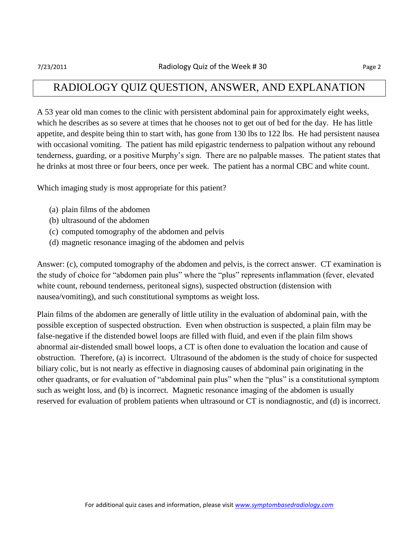### RADIOLOGY QUIZ QUESTION, ANSWER, AND EXPLANATION

A 53 year old man comes to the clinic with persistent abdominal pain for approximately eight weeks, which he describes as so severe at times that he chooses not to get out of bed for the day. He has little appetite, and despite being thin to start with, has gone from 130 lbs to 122 lbs. He had persistent nausea with occasional vomiting. The patient has mild epigastric tenderness to palpation without any rebound tenderness, guarding, or a positive Murphy's sign. There are no palpable masses. The patient states that he drinks at most three or four beers, once per week. The patient has a normal CBC and white count.

Which imaging study is most appropriate for this patient?

- (a) plain films of the abdomen
- (b) ultrasound of the abdomen
- (c) computed tomography of the abdomen and pelvis
- (d) magnetic resonance imaging of the abdomen and pelvis

Answer: (c), computed tomography of the abdomen and pelvis, is the correct answer. CT examination is the study of choice for "abdomen pain plus" where the "plus" represents inflammation (fever, elevated white count, rebound tenderness, peritoneal signs), suspected obstruction (distension with nausea/vomiting), and such constitutional symptoms as weight loss.

Plain films of the abdomen are generally of little utility in the evaluation of abdominal pain, with the possible exception of suspected obstruction. Even when obstruction is suspected, a plain film may be false-negative if the distended bowel loops are filled with fluid, and even if the plain film shows abnormal air-distended small bowel loops, a CT is often done to evaluation the location and cause of obstruction. Therefore, (a) is incorrect. Ultrasound of the abdomen is the study of choice for suspected biliary colic, but is not nearly as effective in diagnosing causes of abdominal pain originating in the other quadrants, or for evaluation of "abdominal pain plus" when the "plus" is a constitutional symptom such as weight loss, and (b) is incorrect. Magnetic resonance imaging of the abdomen is usually reserved for evaluation of problem patients when ultrasound or CT is nondiagnostic, and (d) is incorrect.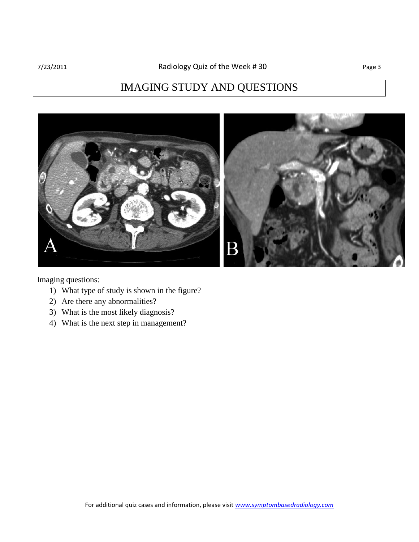# IMAGING STUDY AND QUESTIONS



Imaging questions:

- 1) What type of study is shown in the figure?
- 2) Are there any abnormalities?
- 3) What is the most likely diagnosis?
- 4) What is the next step in management?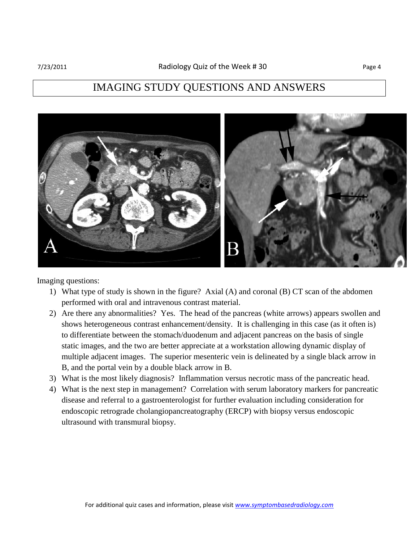## IMAGING STUDY QUESTIONS AND ANSWERS



Imaging questions:

- 1) What type of study is shown in the figure? Axial (A) and coronal (B) CT scan of the abdomen performed with oral and intravenous contrast material.
- 2) Are there any abnormalities? Yes. The head of the pancreas (white arrows) appears swollen and shows heterogeneous contrast enhancement/density. It is challenging in this case (as it often is) to differentiate between the stomach/duodenum and adjacent pancreas on the basis of single static images, and the two are better appreciate at a workstation allowing dynamic display of multiple adjacent images. The superior mesenteric vein is delineated by a single black arrow in B, and the portal vein by a double black arrow in B.
- 3) What is the most likely diagnosis? Inflammation versus necrotic mass of the pancreatic head.
- 4) What is the next step in management? Correlation with serum laboratory markers for pancreatic disease and referral to a gastroenterologist for further evaluation including consideration for endoscopic retrograde cholangiopancreatography (ERCP) with biopsy versus endoscopic ultrasound with transmural biopsy.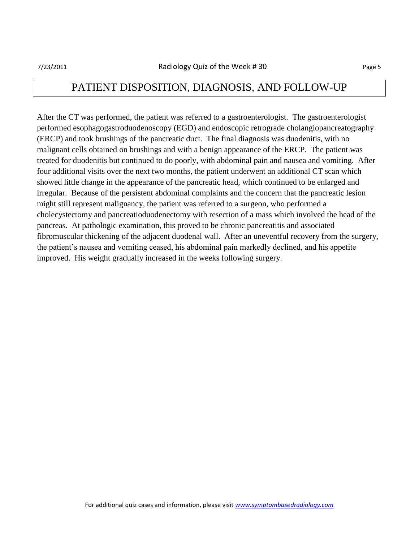## PATIENT DISPOSITION, DIAGNOSIS, AND FOLLOW-UP

After the CT was performed, the patient was referred to a gastroenterologist. The gastroenterologist performed esophagogastroduodenoscopy (EGD) and endoscopic retrograde cholangiopancreatography (ERCP) and took brushings of the pancreatic duct. The final diagnosis was duodenitis, with no malignant cells obtained on brushings and with a benign appearance of the ERCP. The patient was treated for duodenitis but continued to do poorly, with abdominal pain and nausea and vomiting. After four additional visits over the next two months, the patient underwent an additional CT scan which showed little change in the appearance of the pancreatic head, which continued to be enlarged and irregular. Because of the persistent abdominal complaints and the concern that the pancreatic lesion might still represent malignancy, the patient was referred to a surgeon, who performed a cholecystectomy and pancreatioduodenectomy with resection of a mass which involved the head of the pancreas. At pathologic examination, this proved to be chronic pancreatitis and associated fibromuscular thickening of the adjacent duodenal wall. After an uneventful recovery from the surgery, the patient's nausea and vomiting ceased, his abdominal pain markedly declined, and his appetite improved. His weight gradually increased in the weeks following surgery.